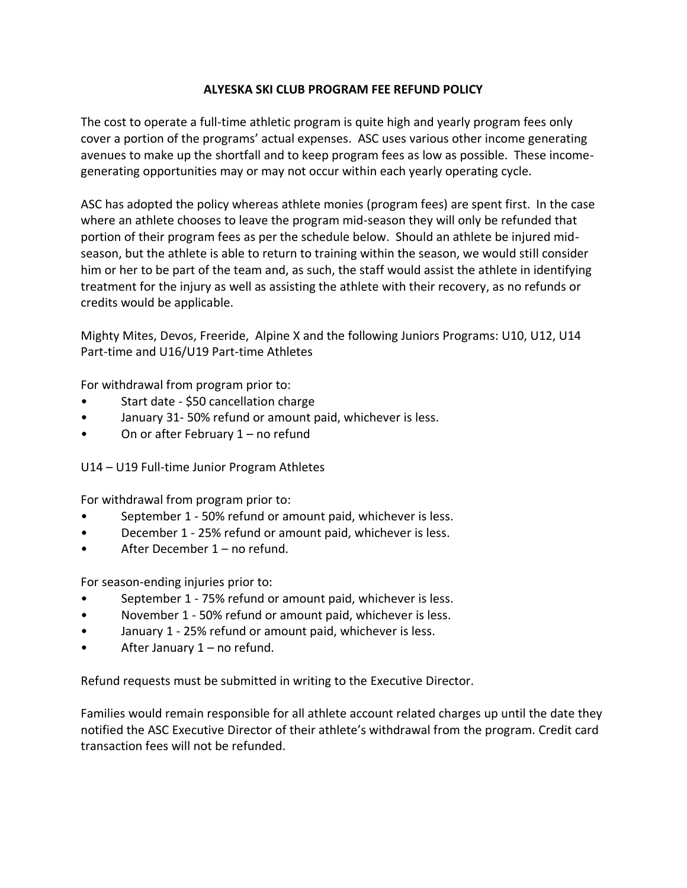## **ALYESKA SKI CLUB PROGRAM FEE REFUND POLICY**

The cost to operate a full-time athletic program is quite high and yearly program fees only cover a portion of the programs' actual expenses. ASC uses various other income generating avenues to make up the shortfall and to keep program fees as low as possible. These incomegenerating opportunities may or may not occur within each yearly operating cycle.

ASC has adopted the policy whereas athlete monies (program fees) are spent first. In the case where an athlete chooses to leave the program mid-season they will only be refunded that portion of their program fees as per the schedule below. Should an athlete be injured midseason, but the athlete is able to return to training within the season, we would still consider him or her to be part of the team and, as such, the staff would assist the athlete in identifying treatment for the injury as well as assisting the athlete with their recovery, as no refunds or credits would be applicable.

Mighty Mites, Devos, Freeride, Alpine X and the following Juniors Programs: U10, U12, U14 Part-time and U16/U19 Part-time Athletes

For withdrawal from program prior to:

- Start date \$50 cancellation charge
- January 31- 50% refund or amount paid, whichever is less.
- On or after February 1 no refund

U14 – U19 Full-time Junior Program Athletes

For withdrawal from program prior to:

- September 1 50% refund or amount paid, whichever is less.
- December 1 25% refund or amount paid, whichever is less.
- After December 1 no refund.

For season-ending injuries prior to:

- September 1 75% refund or amount paid, whichever is less.
- November 1 50% refund or amount paid, whichever is less.
- January 1 25% refund or amount paid, whichever is less.
- After January 1 no refund.

Refund requests must be submitted in writing to the Executive Director.

Families would remain responsible for all athlete account related charges up until the date they notified the ASC Executive Director of their athlete's withdrawal from the program. Credit card transaction fees will not be refunded.